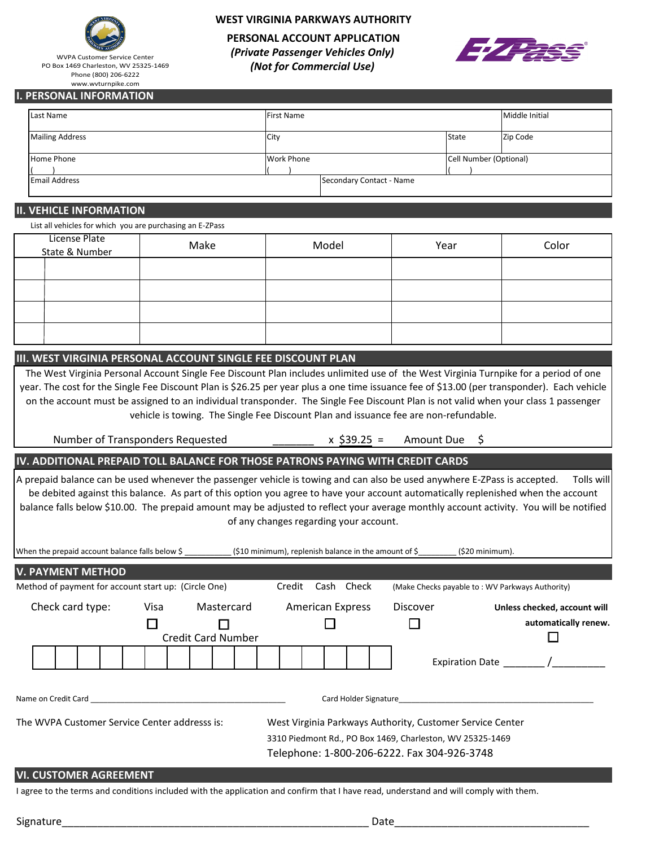

WVPA Customer Service Center PO Box 1469 Charleston, WV 25325-1469 Phone (800) 206-6222 www.wvturnpike.com

# **WEST VIRGINIA PARKWAYS AUTHORITY**

**PERSONAL ACCOUNT APPLICATION** *(Private Passenger Vehicles Only) (Not for Commercial Use)*



### **I. PERSONAL INFORMATION**

| Last Name              | <b>First Name</b> | Middle Initial           |  |  |
|------------------------|-------------------|--------------------------|--|--|
| <b>Mailing Address</b> | City              | State<br>Zip Code        |  |  |
| Home Phone             | <b>Work Phone</b> | Cell Number (Optional)   |  |  |
| <b>Email Address</b>   |                   | Secondary Contact - Name |  |  |

## **II. VEHICLE INFORMATION**

List all vehicles for which you are purchasing an E-ZPass

| License Plate<br>State & Number | Make | Model | Year | Color |
|---------------------------------|------|-------|------|-------|
|                                 |      |       |      |       |
|                                 |      |       |      |       |
|                                 |      |       |      |       |
|                                 |      |       |      |       |

## **III. WEST VIRGINIA PERSONAL ACCOUNT SINGLE FEE DISCOUNT PLAN**

The West Virginia Personal Account Single Fee Discount Plan includes unlimited use of the West Virginia Turnpike for a period of one year. The cost for the Single Fee Discount Plan is \$26.25 per year plus a one time issuance fee of \$13.00 (per transponder). Each vehicle on the account must be assigned to an individual transponder. The Single Fee Discount Plan is not valid when your class 1 passenger vehicle is towing. The Single Fee Discount Plan and issuance fee are non-refundable.

Number of Transponders Requested

 $x$  \$39.25 = Amount Due \$

# **IV. ADDITIONAL PREPAID TOLL BALANCE FOR THOSE PATRONS PAYING WITH CREDIT CARDS**

A prepaid balance can be used whenever the passenger vehicle is towing and can also be used anywhere E-ZPass is accepted. Tolls will be debited against this balance. As part of this option you agree to have your account automatically replenished when the account balance falls below \$10.00. The prepaid amount may be adjusted to reflect your average monthly account activity. You will be notified of any changes regarding your account.

| When the prepaid account balance falls below \$      |      |                           | (\$10 minimum), replenish balance in the amount of \$     |                                                 | $(520 \text{ minimum})$ .    |  |
|------------------------------------------------------|------|---------------------------|-----------------------------------------------------------|-------------------------------------------------|------------------------------|--|
| <b>V. PAYMENT METHOD</b>                             |      |                           |                                                           |                                                 |                              |  |
| Method of payment for account start up: (Circle One) |      |                           | Cash Check<br>Credit                                      | (Make Checks payable to: WV Parkways Authority) |                              |  |
| Check card type:                                     | Visa | Mastercard                | American Express                                          | <b>Discover</b>                                 | Unless checked, account will |  |
|                                                      |      |                           |                                                           |                                                 | automatically renew.         |  |
|                                                      |      | <b>Credit Card Number</b> |                                                           |                                                 |                              |  |
|                                                      |      |                           |                                                           |                                                 | Expiration Date /            |  |
| Name on Credit Card                                  |      |                           |                                                           | Card Holder Signature <b>Example 2018</b>       |                              |  |
| The WVPA Customer Service Center addresss is:        |      |                           | West Virginia Parkways Authority, Customer Service Center |                                                 |                              |  |
|                                                      |      |                           | 3310 Piedmont Rd., PO Box 1469, Charleston, WV 25325-1469 |                                                 |                              |  |
|                                                      |      |                           | Telephone: 1-800-206-6222. Fax 304-926-3748               |                                                 |                              |  |
| <b>VI. CUSTOMER AGREEMENT</b>                        |      |                           |                                                           |                                                 |                              |  |

I agree to the terms and conditions included with the application and confirm that I have read, understand and will comply with them.